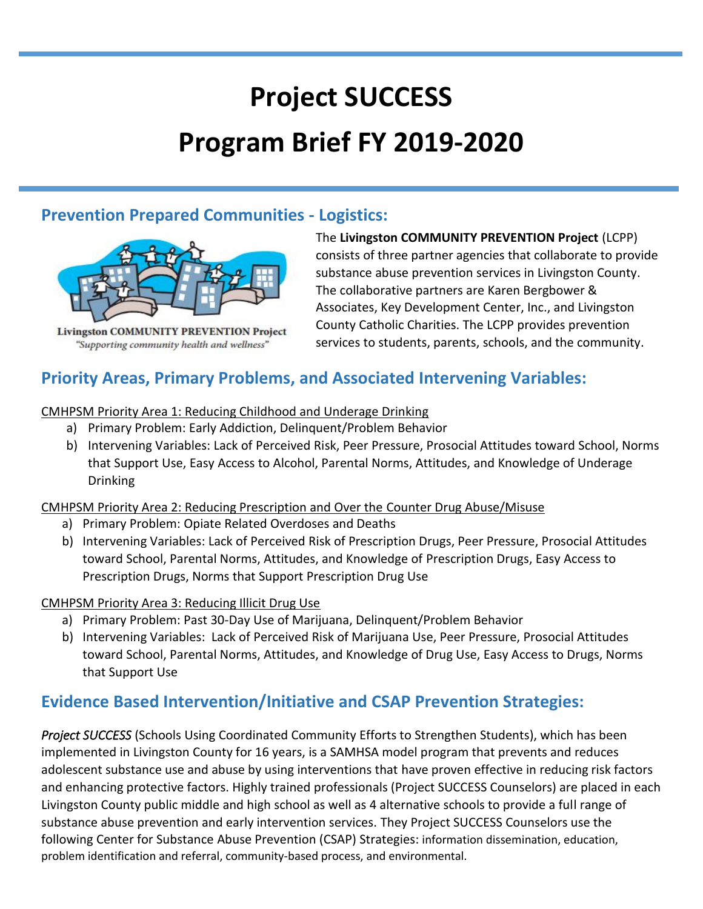# **Project SUCCESS Program Brief FY 2019-2020**

### **Prevention Prepared Communities - Logistics:**



**Livingston COMMUNITY PREVENTION Project** "Supporting community health and wellness"

The **Livingston COMMUNITY PREVENTION Project** (LCPP) consists of three partner agencies that collaborate to provide substance abuse prevention services in Livingston County. The collaborative partners are Karen Bergbower & Associates, Key Development Center, Inc., and Livingston County Catholic Charities. The LCPP provides prevention services to students, parents, schools, and the community.

## **Priority Areas, Primary Problems, and Associated Intervening Variables:**

#### CMHPSM Priority Area 1: Reducing Childhood and Underage Drinking

- a) Primary Problem: Early Addiction, Delinquent/Problem Behavior
- b) Intervening Variables: Lack of Perceived Risk, Peer Pressure, Prosocial Attitudes toward School, Norms that Support Use, Easy Access to Alcohol, Parental Norms, Attitudes, and Knowledge of Underage Drinking

#### CMHPSM Priority Area 2: Reducing Prescription and Over the Counter Drug Abuse/Misuse

- a) Primary Problem: Opiate Related Overdoses and Deaths
- b) Intervening Variables: Lack of Perceived Risk of Prescription Drugs, Peer Pressure, Prosocial Attitudes toward School, Parental Norms, Attitudes, and Knowledge of Prescription Drugs, Easy Access to Prescription Drugs, Norms that Support Prescription Drug Use

#### CMHPSM Priority Area 3: Reducing Illicit Drug Use

- a) Primary Problem: Past 30-Day Use of Marijuana, Delinquent/Problem Behavior
- b) Intervening Variables: Lack of Perceived Risk of Marijuana Use, Peer Pressure, Prosocial Attitudes toward School, Parental Norms, Attitudes, and Knowledge of Drug Use, Easy Access to Drugs, Norms that Support Use

# **Evidence Based Intervention/Initiative and CSAP Prevention Strategies:**

*Project SUCCESS* (Schools Using Coordinated Community Efforts to Strengthen Students), which has been implemented in Livingston County for 16 years, is a SAMHSA model program that prevents and reduces adolescent substance use and abuse by using interventions that have proven effective in reducing risk factors and enhancing protective factors. Highly trained professionals (Project SUCCESS Counselors) are placed in each Livingston County public middle and high school as well as 4 alternative schools to provide a full range of substance abuse prevention and early intervention services. They Project SUCCESS Counselors use the following Center for Substance Abuse Prevention (CSAP) Strategies: information dissemination, education, problem identification and referral, community-based process, and environmental.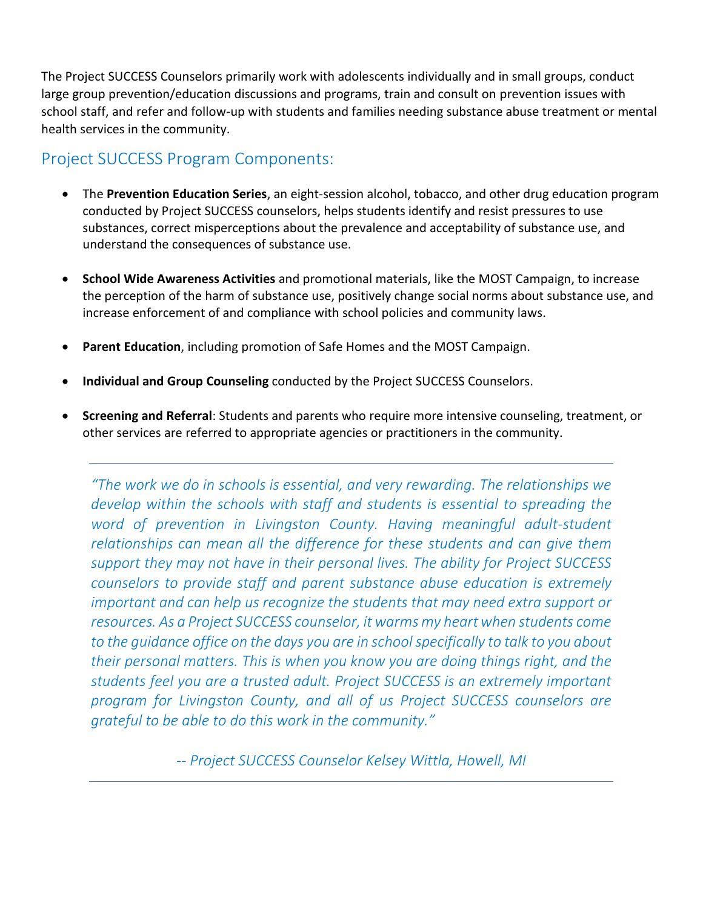The Project SUCCESS Counselors primarily work with adolescents individually and in small groups, conduct large group prevention/education discussions and programs, train and consult on prevention issues with school staff, and refer and follow-up with students and families needing substance abuse treatment or mental health services in the community.

## Project SUCCESS Program Components:

- The **Prevention Education Series**, an eight-session alcohol, tobacco, and other drug education program conducted by Project SUCCESS counselors, helps students identify and resist pressures to use substances, correct misperceptions about the prevalence and acceptability of substance use, and understand the consequences of substance use.
- **School Wide Awareness Activities** and promotional materials, like the MOST Campaign, to increase the perception of the harm of substance use, positively change social norms about substance use, and increase enforcement of and compliance with school policies and community laws.
- **Parent Education**, including promotion of Safe Homes and the MOST Campaign.
- **Individual and Group Counseling** conducted by the Project SUCCESS Counselors.
- **Screening and Referral**: Students and parents who require more intensive counseling, treatment, or other services are referred to appropriate agencies or practitioners in the community.

*"The work we do in schools is essential, and very rewarding. The relationships we develop within the schools with staff and students is essential to spreading the*  word of prevention in Livingston County. Having meaningful adult-student *relationships can mean all the difference for these students and can give them support they may not have in their personal lives. The ability for Project SUCCESS counselors to provide staff and parent substance abuse education is extremely important and can help us recognize the students that may need extra support or resources. As a Project SUCCESS counselor, it warms my heart when students come to the guidance office on the days you are in school specifically to talk to you about their personal matters. This is when you know you are doing things right, and the students feel you are a trusted adult. Project SUCCESS is an extremely important program for Livingston County, and all of us Project SUCCESS counselors are grateful to be able to do this work in the community."*

*-- Project SUCCESS Counselor Kelsey Wittla, Howell, MI*